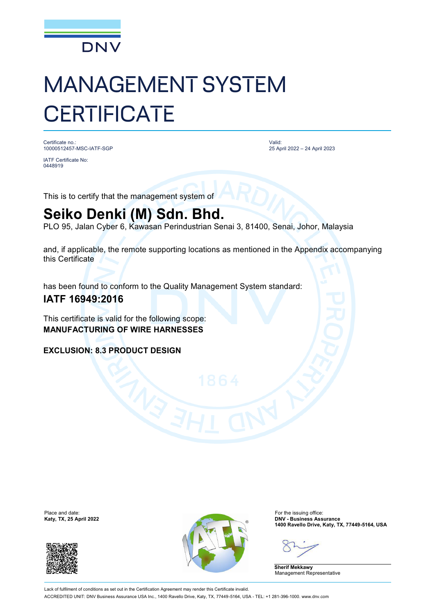

## MANAGEMENT SYSTEM **CERTIFICATE**

Certificate no.: 10000512457-MSC-IATF-SGP

IATF Certificate No: 0448919

Valid: 25 April 2022 – 24 April 2023

This is to certify that the management system of

## **Seiko Denki (M) Sdn. Bhd.**

PLO 95, Jalan Cyber 6, Kawasan Perindustrian Senai 3, 81400, Senai, Johor, Malaysia

and, if applicable, the remote supporting locations as mentioned in the Appendix accompanying this Certificate

has been found to conform to the Quality Management System standard:

## **IATF 16949:2016**

This certificate is valid for the following scope: **MANUFACTURING OF WIRE HARNESSES**

**EXCLUSION: 8.3 PRODUCT DESIGN**

Place and date:<br>Katy, TX, 25 April 2022





For the issuing office:<br>**DNV - Business Assurance 1400 Ravello Drive, Katy, TX, 77449-5164, USA**

**Sherif Mekkawy** Management Representative